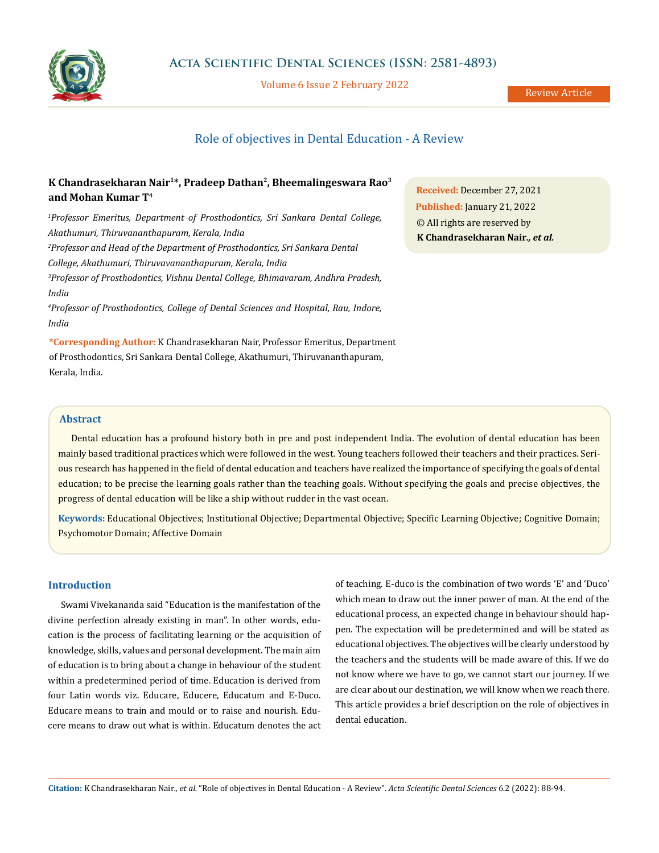

Volume 6 Issue 2 February 2022

# Role of objectives in Dental Education - A Review

# **K Chandrasekharan Nair1\*, Pradeep Dathan2, Bheemalingeswara Rao3 and Mohan Kumar T4**

*1 Professor Emeritus, Department of Prosthodontics, Sri Sankara Dental College, Akathumuri, Thiruvananthapuram, Kerala, India* <sup>2</sup> Professor and Head of the Department of Prosthodontics, Sri Sankara Dental *College, Akathumuri, Thiruvavananthapuram, Kerala, India 3 Professor of Prosthodontics, Vishnu Dental College, Bhimavaram, Andhra Pradesh, India*

*4 Professor of Prosthodontics, College of Dental Sciences and Hospital, Rau, Indore, India*

**\*Corresponding Author:** K Chandrasekharan Nair, Professor Emeritus, Department of Prosthodontics, Sri Sankara Dental College, Akathumuri, Thiruvananthapuram, Kerala, India.

**Received:** December 27, 2021 **Published:** January 21, 2022 © All rights are reserved by **K Chandrasekharan Nair***., et al.*

# **Abstract**

Dental education has a profound history both in pre and post independent India. The evolution of dental education has been mainly based traditional practices which were followed in the west. Young teachers followed their teachers and their practices. Serious research has happened in the field of dental education and teachers have realized the importance of specifying the goals of dental education; to be precise the learning goals rather than the teaching goals. Without specifying the goals and precise objectives, the progress of dental education will be like a ship without rudder in the vast ocean.

**Keywords:** Educational Objectives; Institutional Objective; Departmental Objective; Specific Learning Objective; Cognitive Domain; Psychomotor Domain; Affective Domain

#### **Introduction**

Swami Vivekananda said "Education is the manifestation of the divine perfection already existing in man". In other words, education is the process of facilitating learning or the acquisition of knowledge, skills, values and personal development. The main aim of education is to bring about a change in behaviour of the student within a predetermined period of time. Education is derived from four Latin words viz. Educare, Educere, Educatum and E-Duco. Educare means to train and mould or to raise and nourish. Educere means to draw out what is within. Educatum denotes the act of teaching. E-duco is the combination of two words 'E' and 'Duco' which mean to draw out the inner power of man. At the end of the educational process, an expected change in behaviour should happen. The expectation will be predetermined and will be stated as educational objectives. The objectives will be clearly understood by the teachers and the students will be made aware of this. If we do not know where we have to go, we cannot start our journey. If we are clear about our destination, we will know when we reach there. This article provides a brief description on the role of objectives in dental education.

**Citation:** K Chandrasekharan Nair*., et al.* "Role of objectives in Dental Education - A Review". *Acta Scientific Dental Sciences* 6.2 (2022): 88-94.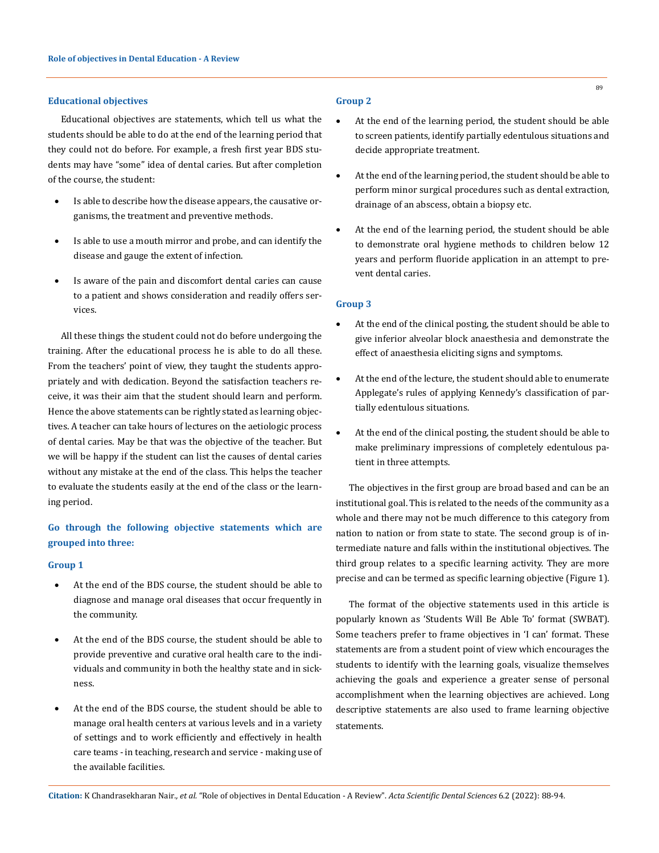### **Educational objectives**

Educational objectives are statements, which tell us what the students should be able to do at the end of the learning period that they could not do before. For example, a fresh first year BDS students may have "some" idea of dental caries. But after completion of the course, the student:

- Is able to describe how the disease appears, the causative organisms, the treatment and preventive methods.
- Is able to use a mouth mirror and probe, and can identify the disease and gauge the extent of infection.
- Is aware of the pain and discomfort dental caries can cause to a patient and shows consideration and readily offers services.

All these things the student could not do before undergoing the training. After the educational process he is able to do all these. From the teachers' point of view, they taught the students appropriately and with dedication. Beyond the satisfaction teachers receive, it was their aim that the student should learn and perform. Hence the above statements can be rightly stated as learning objectives. A teacher can take hours of lectures on the aetiologic process of dental caries. May be that was the objective of the teacher. But we will be happy if the student can list the causes of dental caries without any mistake at the end of the class. This helps the teacher to evaluate the students easily at the end of the class or the learning period.

# **Go through the following objective statements which are grouped into three:**

#### **Group 1**

- At the end of the BDS course, the student should be able to diagnose and manage oral diseases that occur frequently in the community.
- At the end of the BDS course, the student should be able to provide preventive and curative oral health care to the individuals and community in both the healthy state and in sickness.
- At the end of the BDS course, the student should be able to manage oral health centers at various levels and in a variety of settings and to work efficiently and effectively in health care teams - in teaching, research and service - making use of the available facilities.

# **Group 2**

- At the end of the learning period, the student should be able to screen patients, identify partially edentulous situations and decide appropriate treatment.
- At the end of the learning period, the student should be able to perform minor surgical procedures such as dental extraction, drainage of an abscess, obtain a biopsy etc.
- At the end of the learning period, the student should be able to demonstrate oral hygiene methods to children below 12 years and perform fluoride application in an attempt to prevent dental caries.

#### **Group 3**

- At the end of the clinical posting, the student should be able to give inferior alveolar block anaesthesia and demonstrate the effect of anaesthesia eliciting signs and symptoms.
- At the end of the lecture, the student should able to enumerate Applegate's rules of applying Kennedy's classification of partially edentulous situations.
- At the end of the clinical posting, the student should be able to make preliminary impressions of completely edentulous patient in three attempts.

The objectives in the first group are broad based and can be an institutional goal. This is related to the needs of the community as a whole and there may not be much difference to this category from nation to nation or from state to state. The second group is of intermediate nature and falls within the institutional objectives. The third group relates to a specific learning activity. They are more precise and can be termed as specific learning objective (Figure 1).

The format of the objective statements used in this article is popularly known as 'Students Will Be Able To' format (SWBAT). Some teachers prefer to frame objectives in 'I can' format. These statements are from a student point of view which encourages the students to identify with the learning goals, visualize themselves achieving the goals and experience a greater sense of personal accomplishment when the learning objectives are achieved. Long descriptive statements are also used to frame learning objective statements.

**Citation:** K Chandrasekharan Nair*., et al.* "Role of objectives in Dental Education - A Review". *Acta Scientific Dental Sciences* 6.2 (2022): 88-94.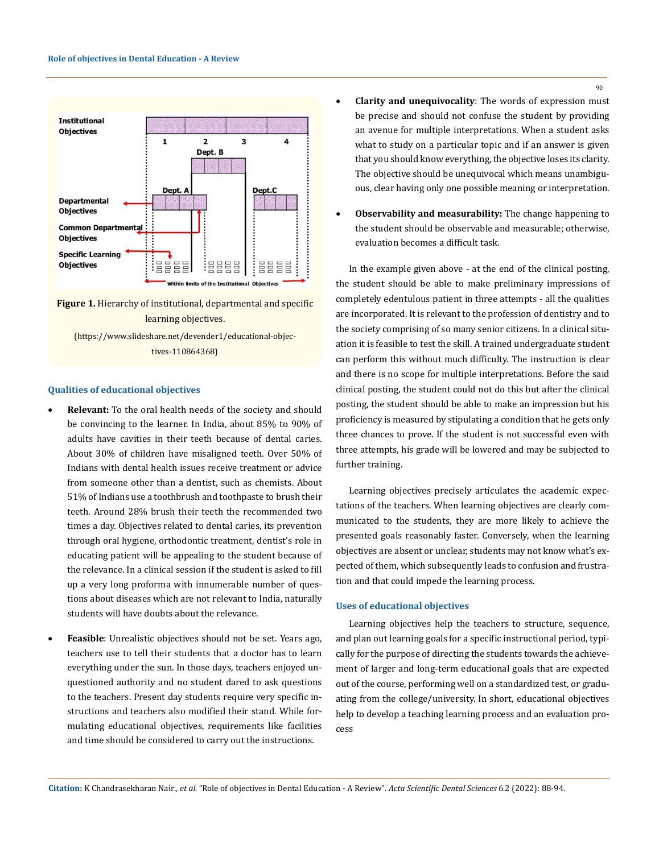

**Figure 1.** Hierarchy of institutional, departmental and specific learning objectives.

(https://www.slideshare.net/devender1/educational-objectives-110864368)

#### **Qualities of educational objectives**

- **Relevant:** To the oral health needs of the society and should be convincing to the learner. In India, about 85% to 90% of adults have cavities in their teeth because of dental caries. About 30% of children have misaligned teeth. Over 50% of Indians with dental health issues receive treatment or advice from someone other than a dentist, such as chemists. About 51% of Indians use a toothbrush and toothpaste to brush their teeth. Around 28% brush their teeth the recommended two times a day. Objectives related to dental caries, its prevention through oral hygiene, orthodontic treatment, dentist's role in educating patient will be appealing to the student because of the relevance. In a clinical session if the student is asked to fill up a very long proforma with innumerable number of questions about diseases which are not relevant to India, naturally students will have doubts about the relevance.
- • **Feasible**: Unrealistic objectives should not be set. Years ago, teachers use to tell their students that a doctor has to learn everything under the sun. In those days, teachers enjoyed unquestioned authority and no student dared to ask questions to the teachers. Present day students require very specific instructions and teachers also modified their stand. While formulating educational objectives, requirements like facilities and time should be considered to carry out the instructions.
- **Clarity and unequivocality**: The words of expression must be precise and should not confuse the student by providing an avenue for multiple interpretations. When a student asks what to study on a particular topic and if an answer is given that you should know everything, the objective loses its clarity. The objective should be unequivocal which means unambiguous, clear having only one possible meaning or interpretation.
- **Observability and measurability:** The change happening to the student should be observable and measurable; otherwise, evaluation becomes a difficult task.

In the example given above - at the end of the clinical posting, the student should be able to make preliminary impressions of completely edentulous patient in three attempts - all the qualities are incorporated. It is relevant to the profession of dentistry and to the society comprising of so many senior citizens. In a clinical situation it is feasible to test the skill. A trained undergraduate student can perform this without much difficulty. The instruction is clear and there is no scope for multiple interpretations. Before the said clinical posting, the student could not do this but after the clinical posting, the student should be able to make an impression but his proficiency is measured by stipulating a condition that he gets only three chances to prove. If the student is not successful even with three attempts, his grade will be lowered and may be subjected to further training.

Learning objectives precisely articulates the academic expectations of the teachers. When learning objectives are clearly communicated to the students, they are more likely to achieve the presented goals reasonably faster. Conversely, when the learning objectives are absent or unclear, students may not know what's expected of them, which subsequently leads to confusion and frustration and that could impede the learning process.

#### **Uses of educational objectives**

Learning objectives help the teachers to structure, sequence, and plan out learning goals for a specific instructional period, typically for the purpose of directing the students towards the achievement of larger and long-term educational goals that are expected out of the course, performing well on a [standardized test](https://www.edglossary.org/standardized-test/), or graduating from the college/university. In short, educational objectives help to develop a teaching learning process and an evaluation process

**Citation:** K Chandrasekharan Nair*., et al.* "Role of objectives in Dental Education - A Review". *Acta Scientific Dental Sciences* 6.2 (2022): 88-94.

90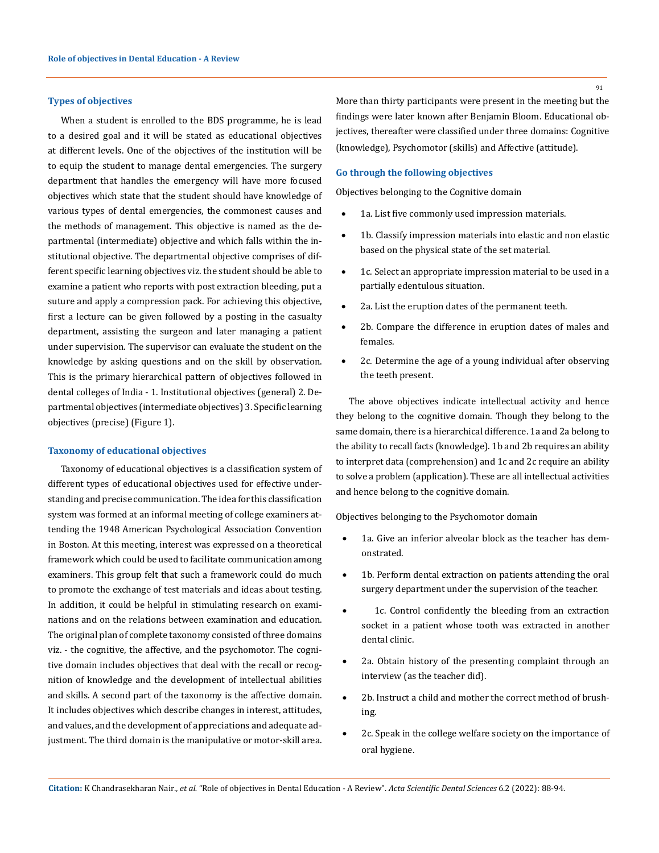#### **Types of objectives**

When a student is enrolled to the BDS programme, he is lead to a desired goal and it will be stated as educational objectives at different levels. One of the objectives of the institution will be to equip the student to manage dental emergencies. The surgery department that handles the emergency will have more focused objectives which state that the student should have knowledge of various types of dental emergencies, the commonest causes and the methods of management. This objective is named as the departmental (intermediate) objective and which falls within the institutional objective. The departmental objective comprises of different specific learning objectives viz. the student should be able to examine a patient who reports with post extraction bleeding, put a suture and apply a compression pack. For achieving this objective, first a lecture can be given followed by a posting in the casualty department, assisting the surgeon and later managing a patient under supervision. The supervisor can evaluate the student on the knowledge by asking questions and on the skill by observation. This is the primary hierarchical pattern of objectives followed in dental colleges of India - 1. Institutional objectives (general) 2. Departmental objectives (intermediate objectives) 3. Specific learning objectives (precise) (Figure 1).

#### **Taxonomy of educational objectives**

Taxonomy of educational objectives is a classification system of different types of educational objectives used for effective understanding and precise communication. The idea for this classification system was formed at an informal meeting of college examiners attending the 1948 American Psychological Association Convention in Boston. At this meeting, interest was expressed on a theoretical framework which could be used to facilitate communication among examiners. This group felt that such a framework could do much to promote the exchange of test materials and ideas about testing. In addition, it could be helpful in stimulating research on examinations and on the relations between examination and education. The original plan of complete taxonomy consisted of three domains viz. - the cognitive, the affective, and the psychomotor. The cognitive domain includes objectives that deal with the recall or recognition of knowledge and the development of intellectual abilities and skills. A second part of the taxonomy is the affective domain. It includes objectives which describe changes in interest, attitudes, and values, and the development of appreciations and adequate adjustment. The third domain is the manipulative or motor-skill area.

More than thirty participants were present in the meeting but the findings were later known after Benjamin Bloom. Educational objectives, thereafter were classified under three domains: Cognitive (knowledge), Psychomotor (skills) and Affective (attitude).

#### **Go through the following objectives**

Objectives belonging to the Cognitive domain

- 1a. List five commonly used impression materials.
- 1b. Classify impression materials into elastic and non elastic based on the physical state of the set material.
- 1c. Select an appropriate impression material to be used in a partially edentulous situation.
- 2a. List the eruption dates of the permanent teeth.
- 2b. Compare the difference in eruption dates of males and females.
- 2c. Determine the age of a young individual after observing the teeth present.

The above objectives indicate intellectual activity and hence they belong to the cognitive domain. Though they belong to the same domain, there is a hierarchical difference. 1a and 2a belong to the ability to recall facts (knowledge). 1b and 2b requires an ability to interpret data (comprehension) and 1c and 2c require an ability to solve a problem (application). These are all intellectual activities and hence belong to the cognitive domain.

Objectives belonging to the Psychomotor domain

- 1a. Give an inferior alveolar block as the teacher has demonstrated.
- 1b. Perform dental extraction on patients attending the oral surgery department under the supervision of the teacher.
- 1c. Control confidently the bleeding from an extraction socket in a patient whose tooth was extracted in another dental clinic.
- 2a. Obtain history of the presenting complaint through an interview (as the teacher did).
- 2b. Instruct a child and mother the correct method of brushing.
- 2c. Speak in the college welfare society on the importance of oral hygiene.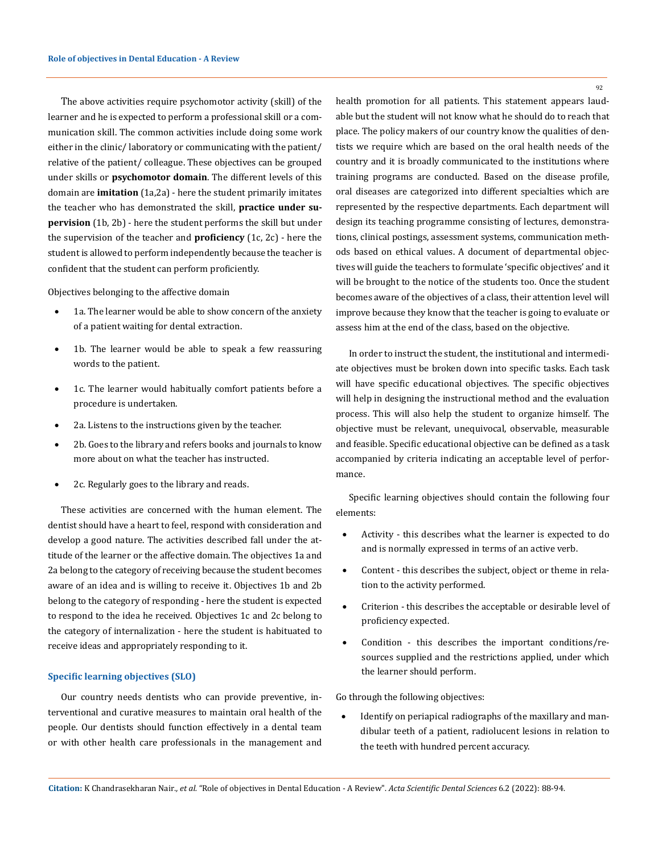The above activities require psychomotor activity (skill) of the learner and he is expected to perform a professional skill or a communication skill. The common activities include doing some work either in the clinic/ laboratory or communicating with the patient/ relative of the patient/ colleague. These objectives can be grouped under skills or **psychomotor domain**. The different levels of this domain are **imitation** (1a,2a) - here the student primarily imitates the teacher who has demonstrated the skill, **practice under supervision** (1b, 2b) - here the student performs the skill but under the supervision of the teacher and **proficiency** (1c, 2c) - here the student is allowed to perform independently because the teacher is confident that the student can perform proficiently.

Objectives belonging to the affective domain

- 1a. The learner would be able to show concern of the anxiety of a patient waiting for dental extraction.
- 1b. The learner would be able to speak a few reassuring words to the patient.
- 1c. The learner would habitually comfort patients before a procedure is undertaken.
- 2a. Listens to the instructions given by the teacher.
- 2b. Goes to the library and refers books and journals to know more about on what the teacher has instructed.
- 2c. Regularly goes to the library and reads.

These activities are concerned with the human element. The dentist should have a heart to feel, respond with consideration and develop a good nature. The activities described fall under the attitude of the learner or the affective domain. The objectives 1a and 2a belong to the category of receiving because the student becomes aware of an idea and is willing to receive it. Objectives 1b and 2b belong to the category of responding - here the student is expected to respond to the idea he received. Objectives 1c and 2c belong to the category of internalization - here the student is habituated to receive ideas and appropriately responding to it.

### **Specific learning objectives (SLO)**

Our country needs dentists who can provide preventive, interventional and curative measures to maintain oral health of the people. Our dentists should function effectively in a dental team or with other health care professionals in the management and health promotion for all patients. This statement appears laudable but the student will not know what he should do to reach that place. The policy makers of our country know the qualities of dentists we require which are based on the oral health needs of the country and it is broadly communicated to the institutions where training programs are conducted. Based on the disease profile, oral diseases are categorized into different specialties which are represented by the respective departments. Each department will design its teaching programme consisting of lectures, demonstrations, clinical postings, assessment systems, communication methods based on ethical values. A document of departmental objectives will guide the teachers to formulate 'specific objectives' and it will be brought to the notice of the students too. Once the student becomes aware of the objectives of a class, their attention level will improve because they know that the teacher is going to evaluate or assess him at the end of the class, based on the objective.

In order to instruct the student, the institutional and intermediate objectives must be broken down into specific tasks. Each task will have specific educational objectives. The specific objectives will help in designing the instructional method and the evaluation process. This will also help the student to organize himself. The objective must be relevant, unequivocal, observable, measurable and feasible. Specific educational objective can be defined as a task accompanied by criteria indicating an acceptable level of performance.

Specific learning objectives should contain the following four elements:

- Activity this describes what the learner is expected to do and is normally expressed in terms of an active verb.
- Content this describes the subject, object or theme in relation to the activity performed.
- Criterion this describes the acceptable or desirable level of proficiency expected.
- Condition this describes the important conditions/resources supplied and the restrictions applied, under which the learner should perform.

Go through the following objectives:

Identify on periapical radiographs of the maxillary and mandibular teeth of a patient, radiolucent lesions in relation to the teeth with hundred percent accuracy.

92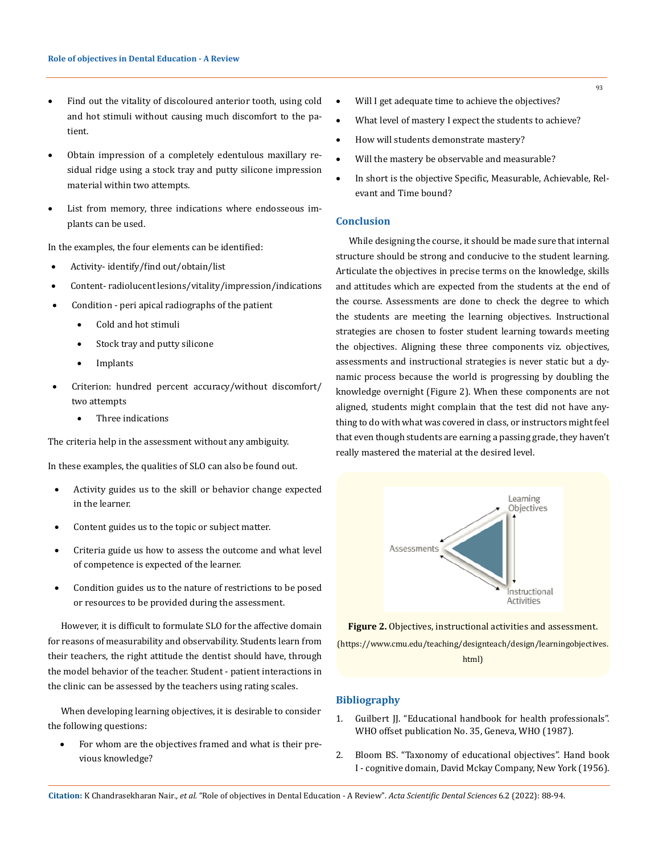- • Find out the vitality of discoloured anterior tooth, using cold and hot stimuli without causing much discomfort to the patient.
- • Obtain impression of a completely edentulous maxillary residual ridge using a stock tray and putty silicone impression material within two attempts.
- List from memory, three indications where endosseous implants can be used.

In the examples, the four elements can be identified:

- Activity- identify/find out/obtain/list
- Content-radiolucent lesions/vitality/impression/indications
- Condition peri apical radiographs of the patient
	- Cold and hot stimuli
	- Stock tray and putty silicone
	- • Implants
- Criterion: hundred percent accuracy/without discomfort/ two attempts
	- Three indications

The criteria help in the assessment without any ambiguity.

In these examples, the qualities of SLO can also be found out.

- Activity guides us to the skill or behavior change expected in the learner.
- Content guides us to the topic or subject matter.
- Criteria guide us how to assess the outcome and what level of competence is expected of the learner.
- Condition guides us to the nature of restrictions to be posed or resources to be provided during the assessment.

However, it is difficult to formulate SLO for the affective domain for reasons of measurability and observability. Students learn from their teachers, the right attitude the dentist should have, through the model behavior of the teacher. Student - patient interactions in the clinic can be assessed by the teachers using rating scales.

When developing learning objectives, it is desirable to consider the following questions:

For whom are the objectives framed and what is their previous knowledge?

- • Will I get adequate time to achieve the objectives?
- What level of mastery I expect the students to achieve?
- How will students demonstrate mastery?
- Will the mastery be observable and measurable?
- In short is the objective Specific, Measurable, Achievable, Relevant and Time bound?

### **Conclusion**

While designing the course, it should be made sure that internal structure should be strong and conducive to the student learning. Articulate the objectives in precise terms on the knowledge, skills and attitudes which are expected from the students at the end of the course. Assessments are done to check the degree to which the students are meeting the learning objectives. Instructional strategies are chosen to foster student learning towards meeting the objectives. Aligning these three components viz. objectives, assessments and instructional strategies is never static but a dynamic process because the world is progressing by doubling the knowledge overnight (Figure 2). When these components are not aligned, students might complain that the test did not have anything to do with what was covered in class, or instructors might feel that even though students are earning a passing grade, they haven't really mastered the material at the desired level.



**Figure 2.** Objectives, instructional activities and assessment.

(https://www.cmu.edu/teaching/designteach/design/learningobjectives. html)

# **Bibliography**

- 1. Guilbert JJ. "Educational handbook for health professionals". WHO offset publication No. 35, Geneva, WHO (1987).
- 2. Bloom BS. "Taxonomy of educational objectives". Hand book I - cognitive domain, David Mckay Company, New York (1956).